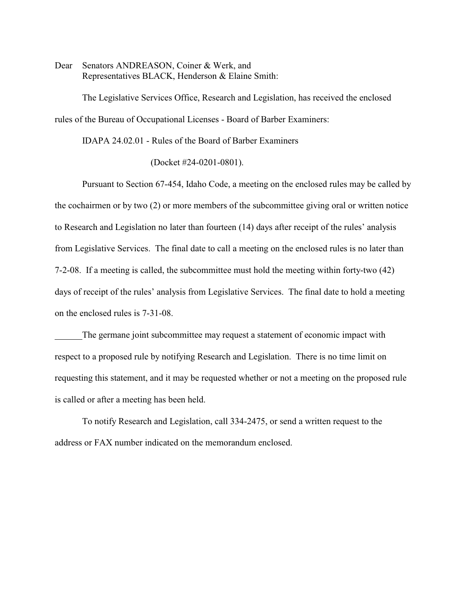Dear Senators ANDREASON, Coiner & Werk, and Representatives BLACK, Henderson & Elaine Smith:

The Legislative Services Office, Research and Legislation, has received the enclosed rules of the Bureau of Occupational Licenses - Board of Barber Examiners:

IDAPA 24.02.01 - Rules of the Board of Barber Examiners

(Docket #24-0201-0801).

Pursuant to Section 67-454, Idaho Code, a meeting on the enclosed rules may be called by the cochairmen or by two (2) or more members of the subcommittee giving oral or written notice to Research and Legislation no later than fourteen (14) days after receipt of the rules' analysis from Legislative Services. The final date to call a meeting on the enclosed rules is no later than 7-2-08. If a meeting is called, the subcommittee must hold the meeting within forty-two (42) days of receipt of the rules' analysis from Legislative Services. The final date to hold a meeting on the enclosed rules is 7-31-08.

The germane joint subcommittee may request a statement of economic impact with respect to a proposed rule by notifying Research and Legislation. There is no time limit on requesting this statement, and it may be requested whether or not a meeting on the proposed rule is called or after a meeting has been held.

To notify Research and Legislation, call 334-2475, or send a written request to the address or FAX number indicated on the memorandum enclosed.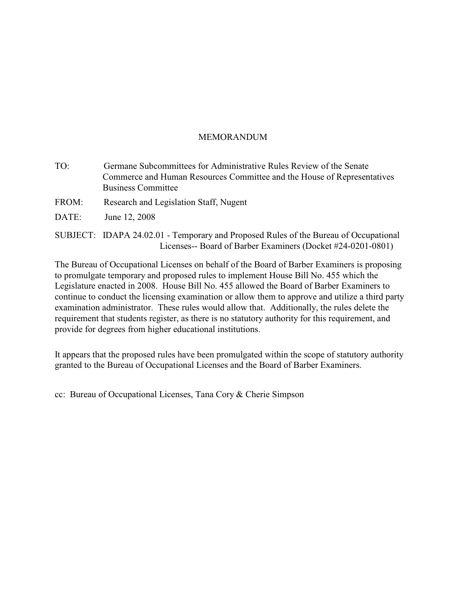# MEMORANDUM

| TO:   | Germane Subcommittees for Administrative Rules Review of the Senate<br>Commerce and Human Resources Committee and the House of Representatives<br><b>Business Committee</b> |
|-------|-----------------------------------------------------------------------------------------------------------------------------------------------------------------------------|
| FROM: | Research and Legislation Staff, Nugent                                                                                                                                      |
| DATE: | June 12, 2008                                                                                                                                                               |

SUBJECT: IDAPA 24.02.01 - Temporary and Proposed Rules of the Bureau of Occupational Licenses-- Board of Barber Examiners (Docket #24-0201-0801)

The Bureau of Occupational Licenses on behalf of the Board of Barber Examiners is proposing to promulgate temporary and proposed rules to implement House Bill No. 455 which the Legislature enacted in 2008. House Bill No. 455 allowed the Board of Barber Examiners to continue to conduct the licensing examination or allow them to approve and utilize a third party examination administrator. These rules would allow that. Additionally, the rules delete the requirement that students register, as there is no statutory authority for this requirement, and provide for degrees from higher educational institutions.

It appears that the proposed rules have been promulgated within the scope of statutory authority granted to the Bureau of Occupational Licenses and the Board of Barber Examiners.

cc: Bureau of Occupational Licenses, Tana Cory & Cherie Simpson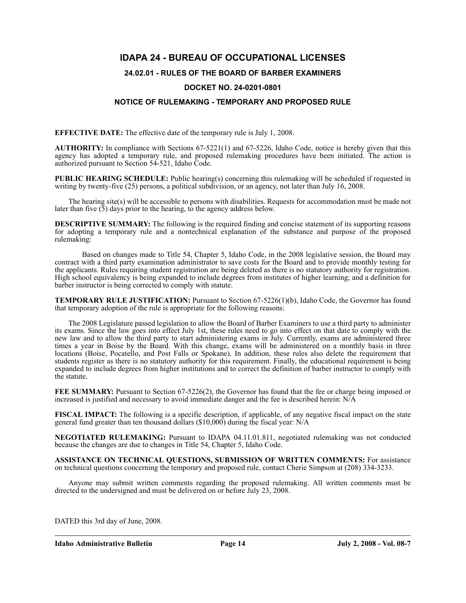# **IDAPA 24 - BUREAU OF OCCUPATIONAL LICENSES**

## **24.02.01 - RULES OF THE BOARD OF BARBER EXAMINERS**

## **DOCKET NO. 24-0201-0801**

## **NOTICE OF RULEMAKING - TEMPORARY AND PROPOSED RULE**

**EFFECTIVE DATE:** The effective date of the temporary rule is July 1, 2008.

**AUTHORITY:** In compliance with Sections 67-5221(1) and 67-5226, Idaho Code, notice is hereby given that this agency has adopted a temporary rule, and proposed rulemaking procedures have been initiated. The action is authorized pursuant to Section 54-521, Idaho Code.

**PUBLIC HEARING SCHEDULE:** Public hearing(s) concerning this rulemaking will be scheduled if requested in writing by twenty-five (25) persons, a political subdivision, or an agency, not later than July 16, 2008.

The hearing site(s) will be accessible to persons with disabilities. Requests for accommodation must be made not later than five  $(5)$  days prior to the hearing, to the agency address below.

**DESCRIPTIVE SUMMARY:** The following is the required finding and concise statement of its supporting reasons for adopting a temporary rule and a nontechnical explanation of the substance and purpose of the proposed rulemaking:

Based on changes made to Title 54, Chapter 5, Idaho Code, in the 2008 legislative session, the Board may contract with a third party examination administrator to save costs for the Board and to provide monthly testing for the applicants. Rules requiring student registration are being deleted as there is no statutory authority for registration. High school equivalency is being expanded to include degrees from institutes of higher learning; and a definition for barber instructor is being corrected to comply with statute.

**TEMPORARY RULE JUSTIFICATION:** Pursuant to Section 67-5226(1)(b), Idaho Code, the Governor has found that temporary adoption of the rule is appropriate for the following reasons:

The 2008 Legislature passed legislation to allow the Board of Barber Examiners to use a third party to administer its exams. Since the law goes into effect July 1st, these rules need to go into effect on that date to comply with the new law and to allow the third party to start administering exams in July. Currently, exams are administered three times a year in Boise by the Board. With this change, exams will be administered on a monthly basis in three locations (Boise, Pocatello, and Post Falls or Spokane). In addition, these rules also delete the requirement that students register as there is no statutory authority for this requirement. Finally, the educational requirement is being expanded to include degrees from higher institutions and to correct the definition of barber instructor to comply with the statute.

**FEE SUMMARY:** Pursuant to Section 67-5226(2), the Governor has found that the fee or charge being imposed or increased is justified and necessary to avoid immediate danger and the fee is described herein: N/A

**FISCAL IMPACT:** The following is a specific description, if applicable, of any negative fiscal impact on the state general fund greater than ten thousand dollars (\$10,000) during the fiscal year: N/A

**NEGOTIATED RULEMAKING:** Pursuant to IDAPA 04.11.01.811, negotiated rulemaking was not conducted because the changes are due to changes in Title 54, Chapter 5, Idaho Code.

**ASSISTANCE ON TECHNICAL QUESTIONS, SUBMISSION OF WRITTEN COMMENTS:** For assistance on technical questions concerning the temporary and proposed rule, contact Cherie Simpson at (208) 334-3233.

Anyone may submit written comments regarding the proposed rulemaking. All written comments must be directed to the undersigned and must be delivered on or before July 23, 2008.

DATED this 3rd day of June, 2008.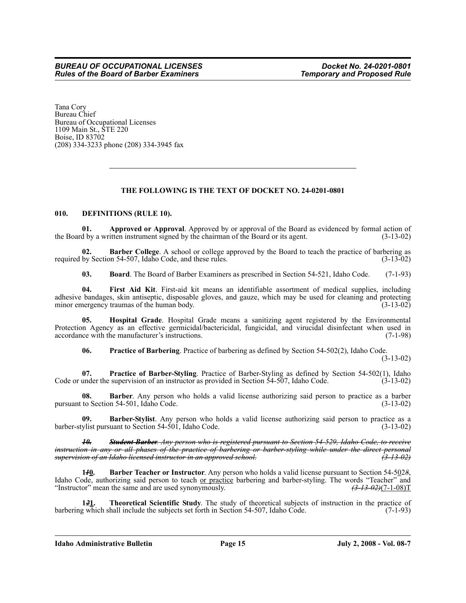Tana Cory Bureau Chief Bureau of Occupational Licenses 1109 Main St., STE 220 Boise, ID 83702 (208) 334-3233 phone (208) 334-3945 fax

## **THE FOLLOWING IS THE TEXT OF DOCKET NO. 24-0201-0801**

#### **010. DEFINITIONS (RULE 10).**

**01. Approved or Approval**. Approved by or approval of the Board as evidenced by formal action of the Board by a written instrument signed by the chairman of the Board or its agent. (3-13-02)

**02. Barber College**. A school or college approved by the Board to teach the practice of barbering as by Section 54-507, Idaho Code, and these rules. (3-13-02) required by Section 54-507, Idaho Code, and these rules.

**03. Board**. The Board of Barber Examiners as prescribed in Section 54-521, Idaho Code. (7-1-93)

**04. First Aid Kit**. First-aid kit means an identifiable assortment of medical supplies, including adhesive bandages, skin antiseptic, disposable gloves, and gauze, which may be used for cleaning and protecting minor emergency traumas of the human body. (3-13-02) minor emergency traumas of the human body.

**05. Hospital Grade**. Hospital Grade means a sanitizing agent registered by the Environmental Protection Agency as an effective germicidal/bactericidal, fungicidal, and virucidal disinfectant when used in accordance with the manufacturer's instructions. (7-1-98)

**06. Practice of Barbering**. Practice of barbering as defined by Section 54-502(2), Idaho Code.

(3-13-02)

**07. Practice of Barber-Styling**. Practice of Barber-Styling as defined by Section 54-502(1), Idaho Code or under the supervision of an instructor as provided in Section 54-507, Idaho Code. (3-13-02)

**08. Barber**. Any person who holds a valid license authorizing said person to practice as a barber pursuant to Section 54-501, Idaho Code. (3-13-02)

**09. Barber-Stylist**. Any person who holds a valid license authorizing said person to practice as a barber-stylist pursuant to Section 54-501, Idaho Code. (3-13-02)

*10. Student Barber. Any person who is registered pursuant to Section 54-529, Idaho Code, to receive instruction in any or all phases of the practice of barbering or barber-styling while under the direct personal supervision of an Idaho licensed instructor in an approved school. (3-13-02)*

**1***1***0. Barber Teacher or Instructor**. Any person who holds a valid license pursuant to Section 54-502*8*, Idaho Code, authorizing said person to teach <u>or practice</u> barbering and barber-styling. The words "Teacher" and "Instructor" mean the same and are used synonymously. "Instructor" mean the same and are used synonymously.

**121. Theoretical Scientific Study**. The study of theoretical subjects of instruction in the practice of g which shall include the subjects set forth in Section 54-507, Idaho Code. (7-1-93) barbering which shall include the subjects set forth in Section 54-507, Idaho Code.

**Idaho Administrative Bulletin Page 15 July 2, 2008 - Vol. 08-7**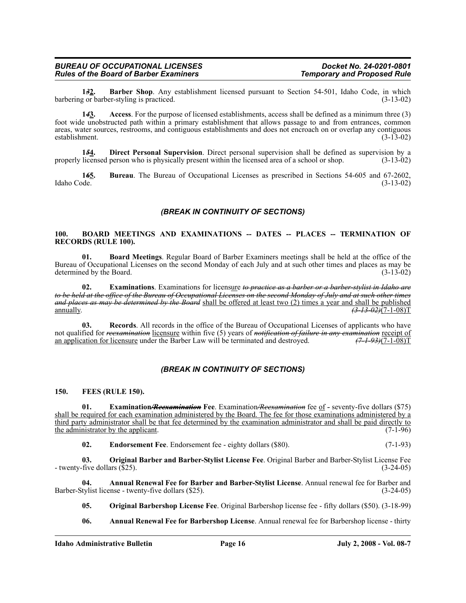#### *BUREAU OF OCCUPATIONAL LICENSES Docket No. 24-0201-0801 Rules of the Board of Barber Examiners*

**1<del>3</del><sub>2</sub>. Barber Shop**. Any establishment licensed pursuant to Section 54-501, Idaho Code, in which por barber-styling is practiced. barbering or barber-styling is practiced.

**1***4***3. Access**. For the purpose of licensed establishments, access shall be defined as a minimum three (3) foot wide unobstructed path within a primary establishment that allows passage to and from entrances, common areas, water sources, restrooms, and contiguous establishments and does not encroach on or overlap any contiguous establishment. (3-13-02) establishment.

**1***5***4. Direct Personal Supervision**. Direct personal supervision shall be defined as supervision by a properly licensed person who is physically present within the licensed area of a school or shop. (3-13-02)

**145.** Bureau. The Bureau of Occupational Licenses as prescribed in Sections 54-605 and 67-2602, Idaho Code. (3-13-02) Idaho Code. (3-13-02)

## *(BREAK IN CONTINUITY OF SECTIONS)*

#### **100. BOARD MEETINGS AND EXAMINATIONS -- DATES -- PLACES -- TERMINATION OF RECORDS (RULE 100).**

**01. Board Meetings**. Regular Board of Barber Examiners meetings shall be held at the office of the Bureau of Occupational Licenses on the second Monday of each July and at such other times and places as may be determined by the Board. (3-13-02) determined by the Board.

**02. Examinations**. Examinations for licensure *to practice as a barber or a barber-stylist in Idaho are to be held at the office of the Bureau of Occupational Licenses on the second Monday of July and at such other times and places as may be determined by the Board* shall be offered at least two (2) times a year and shall be published  $\sqrt{(3-13-02)(7-1-08)}$ T

**03. Records**. All records in the office of the Bureau of Occupational Licenses of applicants who have not qualified for *reexamination* licensure within five (5) years of *notification of failure in any examination* receipt of an application for licensure under the Barber Law will be terminated and destroyed.  $(7-1-93)(7-1$ an application for licensure under the Barber Law will be terminated and destroyed.

### *(BREAK IN CONTINUITY OF SECTIONS)*

#### **150. FEES (RULE 150).**

**01. Examination***/Reexamination* **Fee**. Examination*/Reexamination* fee of *-* seventy-five dollars (\$75) shall be required for each examination administered by the Board. The fee for those examinations administered by a third party administrator shall be that fee determined by the examination administrator and shall be paid directly to the administrator by the applicant.  $(7-1-96)$ 

**02. Endorsement Fee**. Endorsement fee - eighty dollars (\$80). (7-1-93)

**03. Original Barber and Barber-Stylist License Fee**. Original Barber and Barber-Stylist License Fee - twenty-five dollars (\$25). (3-24-05)

**04. Annual Renewal Fee for Barber and Barber-Stylist License**. Annual renewal fee for Barber and Barber-Stylist license - twenty-five dollars (\$25). (3-24-05)

**05. Original Barbershop License Fee**. Original Barbershop license fee - fifty dollars (\$50). (3-18-99)

**06. Annual Renewal Fee for Barbershop License**. Annual renewal fee for Barbershop license - thirty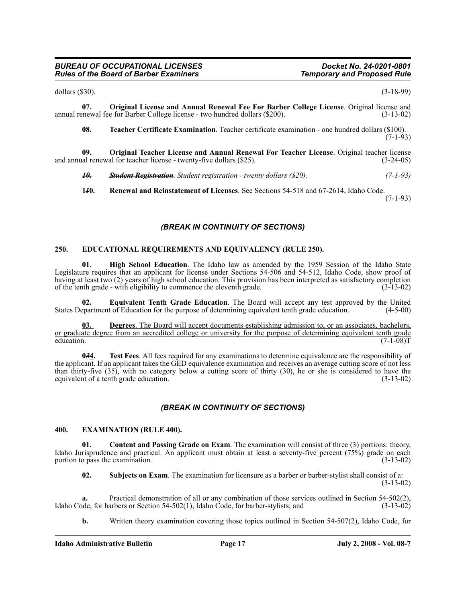#### *BUREAU OF OCCUPATIONAL LICENSES Docket No. 24-0201-0801 Rules of the Board of Barber Examiners*

dollars (\$30). (3-18-99)

**07. Original License and Annual Renewal Fee For Barber College License**. Original license and **propertional Renewal fee for Barber College** license - two hundred dollars (\$200). (3-13-02) annual renewal fee for Barber College license - two hundred dollars (\$200).

**08. Teacher Certificate Examination**. Teacher certificate examination - one hundred dollars (\$100).  $(7-1-93)$ 

**09. Original Teacher License and Annual Renewal For Teacher License**. Original teacher license and annual renewal for teacher license - twenty-five dollars (\$25). (3-24-05)

*10. Student Registration. Student registration - twenty dollars (\$20). (7-1-93)*

**1***1***0. Renewal and Reinstatement of Licenses**. See Sections 54-518 and 67-2614, Idaho Code. (7-1-93)

### *(BREAK IN CONTINUITY OF SECTIONS)*

#### **250. EDUCATIONAL REQUIREMENTS AND EQUIVALENCY (RULE 250).**

**01. High School Education**. The Idaho law as amended by the 1959 Session of the Idaho State Legislature requires that an applicant for license under Sections 54-506 and 54-512, Idaho Code, show proof of having at least two (2) years of high school education. This provision has been interpreted as satisfactory completion of the tenth grade - with eligibility to commence the eleventh grade. (3-13-02)

**02. Equivalent Tenth Grade Education**. The Board will accept any test approved by the United epartment of Education for the purpose of determining equivalent tenth grade education. (4-5-00) States Department of Education for the purpose of determining equivalent tenth grade education.

**03. Degrees**. The Board will accept documents establishing admission to, or an associates, bachelors, or graduate degree from an accredited college or university for the purpose of determining equivalent tenth grade<br>education. (7-1-08) education.  $(7-1-08)T$ 

**0***3***4. Test Fees**. All fees required for any examinations to determine equivalence are the responsibility of the applicant. If an applicant takes the GED equivalence examination and receives an average cutting score of not less than thirty-five (35), with no category below a cutting score of thirty (30), he or she is considered to have the equivalent of a tenth grade education. (3-13-02)

### *(BREAK IN CONTINUITY OF SECTIONS)*

#### **400. EXAMINATION (RULE 400).**

**01.** Content and Passing Grade on Exam. The examination will consist of three (3) portions: theory, Idaho Jurisprudence and practical. An applicant must obtain at least a seventy-five percent  $(75\%)$  grade on each portion to pass the examination.  $(3-13-02)$ portion to pass the examination.

**02. Subjects on Exam**. The examination for licensure as a barber or barber-stylist shall consist of a: (3-13-02)

**a.** Practical demonstration of all or any combination of those services outlined in Section 54-502(2), Idaho Code, for barbers or Section 54-502(1), Idaho Code, for barber-stylists; and (3-13-02)

**b.** Written theory examination covering those topics outlined in Section 54-507(2), Idaho Code, for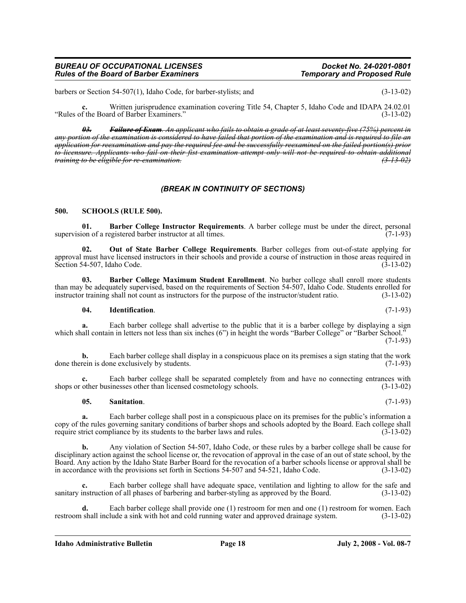barbers or Section 54-507(1), Idaho Code, for barber-stylists; and (3-13-02)

**c.** Written jurisprudence examination covering Title 54, Chapter 5, Idaho Code and IDAPA 24.02.01 "Rules of the Board of Barber Examiners." (3-13-02)

*03. Failure of Exam. An applicant who fails to obtain a grade of at least seventy-five (75%) percent in any portion of the examination is considered to have failed that portion of the examination and is required to file an application for reexamination and pay the required fee and be successfully reexamined on the failed portion(s) prior to licensure. Applicants who fail on their fist examination attempt only will not be required to obtain additional training to be eligible for re-examination. (3-13-02)*

### *(BREAK IN CONTINUITY OF SECTIONS)*

#### **500. SCHOOLS (RULE 500).**

**01. Barber College Instructor Requirements**. A barber college must be under the direct, personal supervision of a registered barber instructor at all times.

**02. Out of State Barber College Requirements**. Barber colleges from out-of-state applying for approval must have licensed instructors in their schools and provide a course of instruction in those areas required in Section 54-507, Idaho Code. (3-13-02)

**03. Barber College Maximum Student Enrollment**. No barber college shall enroll more students than may be adequately supervised, based on the requirements of Section 54-507, Idaho Code. Students enrolled for instructor training shall not count as instructors for the purpose of the instructor/student ratio. (3-13-02)

#### **04. Identification**. (7-1-93)

**a.** Each barber college shall advertise to the public that it is a barber college by displaying a sign which shall contain in letters not less than six inches (6") in height the words "Barber College" or "Barber School." (7-1-93)

**b.** Each barber college shall display in a conspicuous place on its premises a sign stating that the work done therein is done exclusively by students. (7-1-93)

Each barber college shall be separated completely from and have no connecting entrances with sinesses other than licensed cosmetology schools. (3-13-02) shops or other businesses other than licensed cosmetology schools.

#### **05. Sanitation**. (7-1-93)

**a.** Each barber college shall post in a conspicuous place on its premises for the public's information a copy of the rules governing sanitary conditions of barber shops and schools adopted by the Board. Each college shall<br>require strict compliance by its students to the barber laws and rules. (3-13-02) require strict compliance by its students to the barber laws and rules.

**b.** Any violation of Section 54-507, Idaho Code, or these rules by a barber college shall be cause for disciplinary action against the school license or, the revocation of approval in the case of an out of state school, by the Board. Any action by the Idaho State Barber Board for the revocation of a barber schools license or approval shall be in accordance with the provisions set forth in Sections 54-507 and 54-521, Idaho Code. (3-13-02)

**c.** Each barber college shall have adequate space, ventilation and lighting to allow for the safe and sanitary instruction of all phases of barbering and barber-styling as approved by the Board. (3-13-02)

**d.** Each barber college shall provide one (1) restroom for men and one (1) restroom for women. Each restroom shall include a sink with hot and cold running water and approved drainage system. (3-13-02)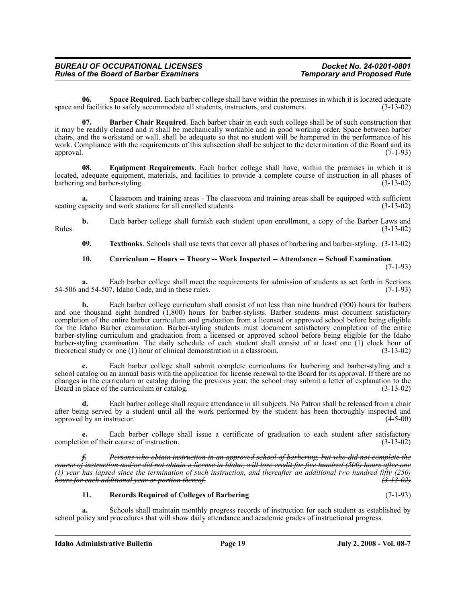**06.** Space Required. Each barber college shall have within the premises in which it is located adequate of facilities to safely accommodate all students, instructors, and customers. (3-13-02) space and facilities to safely accommodate all students, instructors, and customers.

**07. Barber Chair Required**. Each barber chair in each such college shall be of such construction that it may be readily cleaned and it shall be mechanically workable and in good working order. Space between barber chairs, and the workstand or wall, shall be adequate so that no student will be hampered in the performance of his work. Compliance with the requirements of this subsection shall be subject to the determination of the Board and its approval. (7-1-93)

**08. Equipment Requirements**. Each barber college shall have, within the premises in which it is located, adequate equipment, materials, and facilities to provide a complete course of instruction in all phases of barbering and barber-styling. (3-13-02) barbering and barber-styling.

**a.** Classroom and training areas - The classroom and training areas shall be equipped with sufficient apacity and work stations for all enrolled students. (3-13-02) seating capacity and work stations for all enrolled students.

**b.** Each barber college shall furnish each student upon enrollment, a copy of the Barber Laws and Rules.  $(3-13-02)$ 

**09. Textbooks**. Schools shall use texts that cover all phases of barbering and barber-styling. (3-13-02)

#### **10. Curriculum -- Hours -- Theory -- Work Inspected -- Attendance -- School Examination**.

(7-1-93)

**a.** Each barber college shall meet the requirements for admission of students as set forth in Sections 54-506 and 54-507, Idaho Code, and in these rules. (7-1-93)

**b.** Each barber college curriculum shall consist of not less than nine hundred (900) hours for barbers and one thousand eight hundred  $(1,800)$  hours for barber-stylists. Barber students must document satisfactory completion of the entire barber curriculum and graduation from a licensed or approved school before being eligible for the Idaho Barber examination. Barber-styling students must document satisfactory completion of the entire barber-styling curriculum and graduation from a licensed or approved school before being eligible for the Idaho barber-styling examination. The daily schedule of each student shall consist of at least one (1) clock hour of theoretical study or one (1) hour of clinical demonstration in a classroom. (3-13-02) theoretical study or one  $(1)$  hour of clinical demonstration in a classroom.

**c.** Each barber college shall submit complete curriculums for barbering and barber-styling and a school catalog on an annual basis with the application for license renewal to the Board for its approval. If there are no changes in the curriculum or catalog during the previous year, the school may submit a letter of explanation to the Board in place of the curriculum or catalog. (3-13-02) Board in place of the curriculum or catalog.

**d.** Each barber college shall require attendance in all subjects. No Patron shall be released from a chair after being served by a student until all the work performed by the student has been thoroughly inspected and approved by an instructor. (4-5-00) approved by an instructor.

**e.** Each barber college shall issue a certificate of graduation to each student after satisfactory completion of their course of instruction. (3-13-02)

*f. Persons who obtain instruction in an approved school of barbering, but who did not complete the course of instruction and/or did not obtain a license in Idaho, will lose credit for five hundred (500) hours after one (1) year has lapsed since the termination of such instruction, and thereafter an additional two hundred fifty (250) hours for each additional year or portion thereof. (3-13-02)*

## **11. Records Required of Colleges of Barbering**. (7-1-93)

**a.** Schools shall maintain monthly progress records of instruction for each student as established by school policy and procedures that will show daily attendance and academic grades of instructional progress.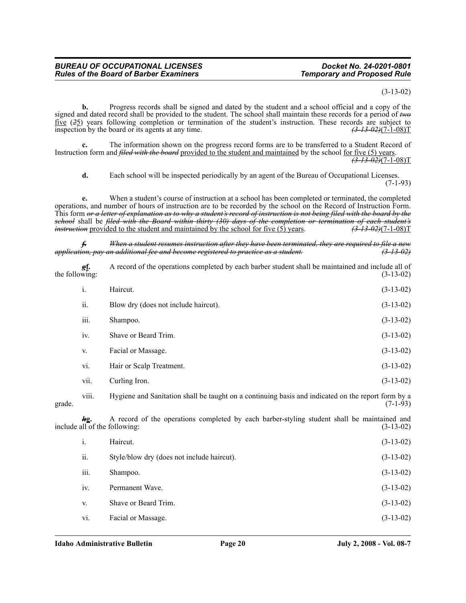#### (3-13-02)

**b.** Progress records shall be signed and dated by the student and a school official and a copy of the signed and dated record shall be provided to the student. The school shall maintain these records for a period of *two* five (*2*5) years following completion or termination of the student's instruction. These records are subject to inspection by the board or its agents at any time. *(3-13-02)*(7-1-08)T

**c.** The information shown on the progress record forms are to be transferred to a Student Record of Instruction form and *filed with the board* provided to the student and maintained by the school for five (5) years. *(3-13-02)*(7-1-08)T

**d.** Each school will be inspected periodically by an agent of the Bureau of Occupational Licenses. (7-1-93)

**e.** When a student's course of instruction at a school has been completed or terminated, the completed operations, and number of hours of instruction are to be recorded by the school on the Record of Instruction Form. This form *or a letter of explanation as to why a student's record of instruction is not being filed with the board by the school* shall be *filed with the Board within thirty (30) days of the completion or termination of each student's*<br>*instruction* provided to the student and maintained by the school for five (5) years. (3-13-02)(7-1-08)T *instruction* provided to the student and maintained by the school for five (5) years.

*f. When a student resumes instruction after they have been terminated, they are required to file a new application, pay an additional fee and become registered to practice as a student. (3-13-02)*

*g***f.** A record of the operations completed by each barber student shall be maintained and include all of the following:  $(3-13-02)$ 

|        | i.    | Haircut.                                                                                           | $(3-13-02)$ |
|--------|-------|----------------------------------------------------------------------------------------------------|-------------|
|        | ii.   | Blow dry (does not include haircut).                                                               | $(3-13-02)$ |
|        | iii.  | Shampoo.                                                                                           | $(3-13-02)$ |
|        | iv.   | Shave or Beard Trim.                                                                               | $(3-13-02)$ |
|        | V.    | Facial or Massage.                                                                                 | $(3-13-02)$ |
|        | vi.   | Hair or Scalp Treatment.                                                                           | $(3-13-02)$ |
|        | vii.  | Curling Iron.                                                                                      | $(3-13-02)$ |
| grade. | viii. | Hygiene and Sanitation shall be taught on a continuing basis and indicated on the report form by a | $(7-1-93)$  |

*hg*. A record of the operations completed by each barber-styling student shall be maintained and all of the following: (3-13-02) include all of the following:

| 1.   | Haircut.                                   | $(3-13-02)$ |
|------|--------------------------------------------|-------------|
| ii.  | Style/blow dry (does not include haircut). | $(3-13-02)$ |
| iii. | Shampoo.                                   | $(3-13-02)$ |
| iv.  | Permanent Wave.                            | $(3-13-02)$ |
| V.   | Shave or Beard Trim.                       | $(3-13-02)$ |
| vi.  | Facial or Massage.                         | $(3-13-02)$ |